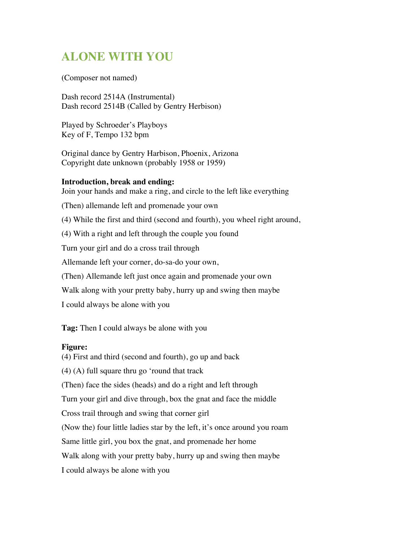## **ALONE WITH YOU**

(Composer not named)

Dash record 2514A (Instrumental) Dash record 2514B (Called by Gentry Herbison)

Played by Schroeder's Playboys Key of F, Tempo 132 bpm

Original dance by Gentry Harbison, Phoenix, Arizona Copyright date unknown (probably 1958 or 1959)

## **Introduction, break and ending:**

Join your hands and make a ring, and circle to the left like everything

(Then) allemande left and promenade your own

(4) While the first and third (second and fourth), you wheel right around,

(4) With a right and left through the couple you found

Turn your girl and do a cross trail through

Allemande left your corner, do-sa-do your own,

(Then) Allemande left just once again and promenade your own

Walk along with your pretty baby, hurry up and swing then maybe

I could always be alone with you

**Tag:** Then I could always be alone with you

## **Figure:**

(4) First and third (second and fourth), go up and back (4) (A) full square thru go 'round that track (Then) face the sides (heads) and do a right and left through Turn your girl and dive through, box the gnat and face the middle Cross trail through and swing that corner girl (Now the) four little ladies star by the left, it's once around you roam Same little girl, you box the gnat, and promenade her home Walk along with your pretty baby, hurry up and swing then maybe I could always be alone with you